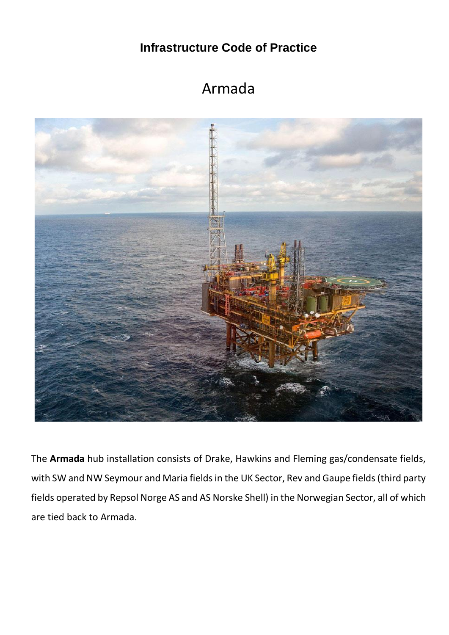**Infrastructure Code of Practice**

## Armada



The **Armada** hub installation consists of Drake, Hawkins and Fleming gas/condensate fields, with SW and NW Seymour and Maria fields in the UK Sector, Rev and Gaupe fields (third party fields operated by Repsol Norge AS and AS Norske Shell) in the Norwegian Sector, all of which are tied back to Armada.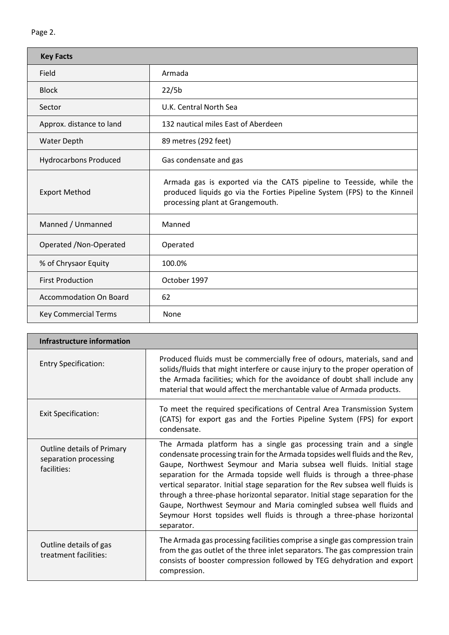| <b>Key Facts</b>              |                                                                                                                                                                                     |  |  |  |  |
|-------------------------------|-------------------------------------------------------------------------------------------------------------------------------------------------------------------------------------|--|--|--|--|
| Field                         | Armada                                                                                                                                                                              |  |  |  |  |
| <b>Block</b>                  | 22/5b                                                                                                                                                                               |  |  |  |  |
| Sector                        | U.K. Central North Sea                                                                                                                                                              |  |  |  |  |
| Approx. distance to land      | 132 nautical miles East of Aberdeen                                                                                                                                                 |  |  |  |  |
| <b>Water Depth</b>            | 89 metres (292 feet)                                                                                                                                                                |  |  |  |  |
| <b>Hydrocarbons Produced</b>  | Gas condensate and gas                                                                                                                                                              |  |  |  |  |
| <b>Export Method</b>          | Armada gas is exported via the CATS pipeline to Teesside, while the<br>produced liquids go via the Forties Pipeline System (FPS) to the Kinneil<br>processing plant at Grangemouth. |  |  |  |  |
| Manned / Unmanned             | Manned                                                                                                                                                                              |  |  |  |  |
| Operated / Non-Operated       | Operated                                                                                                                                                                            |  |  |  |  |
| % of Chrysaor Equity          | 100.0%                                                                                                                                                                              |  |  |  |  |
| <b>First Production</b>       | October 1997                                                                                                                                                                        |  |  |  |  |
| <b>Accommodation On Board</b> | 62                                                                                                                                                                                  |  |  |  |  |
| <b>Key Commercial Terms</b>   | None                                                                                                                                                                                |  |  |  |  |

| Infrastructure information                                         |                                                                                                                                                                                                                                                                                                                                                                                                                                                                                                                                                                                                                                       |  |  |  |
|--------------------------------------------------------------------|---------------------------------------------------------------------------------------------------------------------------------------------------------------------------------------------------------------------------------------------------------------------------------------------------------------------------------------------------------------------------------------------------------------------------------------------------------------------------------------------------------------------------------------------------------------------------------------------------------------------------------------|--|--|--|
| <b>Entry Specification:</b>                                        | Produced fluids must be commercially free of odours, materials, sand and<br>solids/fluids that might interfere or cause injury to the proper operation of<br>the Armada facilities; which for the avoidance of doubt shall include any<br>material that would affect the merchantable value of Armada products.                                                                                                                                                                                                                                                                                                                       |  |  |  |
| <b>Exit Specification:</b>                                         | To meet the required specifications of Central Area Transmission System<br>(CATS) for export gas and the Forties Pipeline System (FPS) for export<br>condensate.                                                                                                                                                                                                                                                                                                                                                                                                                                                                      |  |  |  |
| Outline details of Primary<br>separation processing<br>facilities: | The Armada platform has a single gas processing train and a single<br>condensate processing train for the Armada topsides well fluids and the Rev,<br>Gaupe, Northwest Seymour and Maria subsea well fluids. Initial stage<br>separation for the Armada topside well fluids is through a three-phase<br>vertical separator. Initial stage separation for the Rev subsea well fluids is<br>through a three-phase horizontal separator. Initial stage separation for the<br>Gaupe, Northwest Seymour and Maria comingled subsea well fluids and<br>Seymour Horst topsides well fluids is through a three-phase horizontal<br>separator. |  |  |  |
| Outline details of gas<br>treatment facilities:                    | The Armada gas processing facilities comprise a single gas compression train<br>from the gas outlet of the three inlet separators. The gas compression train<br>consists of booster compression followed by TEG dehydration and export<br>compression.                                                                                                                                                                                                                                                                                                                                                                                |  |  |  |